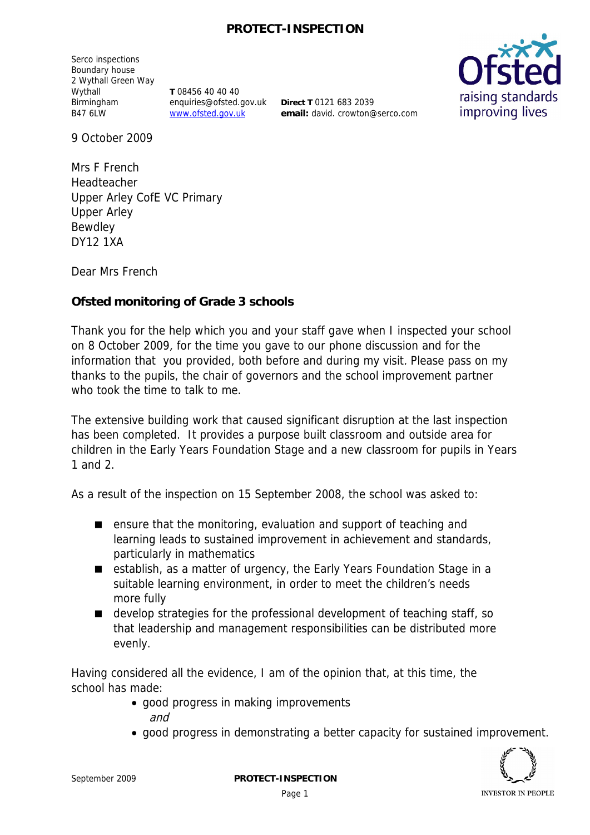## **PROTECT-INSPECTION**

Serco inspections Boundary house 2 Wythall Green Way Wythall Birmingham B47 6LW

**T** 08456 40 40 40 enquiries@ofsted.gov.uk www.ofsted.gov.uk

**Direct T** 0121 683 2039 **email:** david. crowton@serco.com



9 October 2009

Mrs F French Headteacher Upper Arley CofE VC Primary Upper Arley Bewdley DY12 1XA

Dear Mrs French

**Ofsted monitoring of Grade 3 schools**

Thank you for the help which you and your staff gave when I inspected your school on 8 October 2009, for the time you gave to our phone discussion and for the information that you provided, both before and during my visit. Please pass on my thanks to the pupils, the chair of governors and the school improvement partner who took the time to talk to me.

The extensive building work that caused significant disruption at the last inspection has been completed. It provides a purpose built classroom and outside area for children in the Early Years Foundation Stage and a new classroom for pupils in Years 1 and 2.

As a result of the inspection on 15 September 2008, the school was asked to:

- ensure that the monitoring, evaluation and support of teaching and learning leads to sustained improvement in achievement and standards, particularly in mathematics
- establish, as a matter of urgency, the Early Years Foundation Stage in a suitable learning environment, in order to meet the children's needs more fully
- develop strategies for the professional development of teaching staff, so that leadership and management responsibilities can be distributed more evenly.

Having considered all the evidence, I am of the opinion that, at this time, the school has made:

- good progress in making improvements and
- good progress in demonstrating a better capacity for sustained improvement.

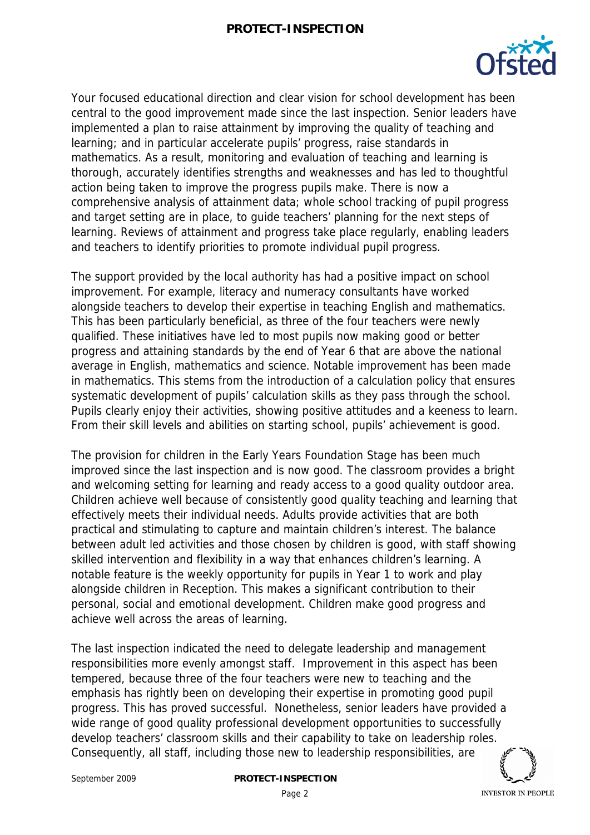

Your focused educational direction and clear vision for school development has been central to the good improvement made since the last inspection. Senior leaders have implemented a plan to raise attainment by improving the quality of teaching and learning; and in particular accelerate pupils' progress, raise standards in mathematics. As a result, monitoring and evaluation of teaching and learning is thorough, accurately identifies strengths and weaknesses and has led to thoughtful action being taken to improve the progress pupils make. There is now a comprehensive analysis of attainment data; whole school tracking of pupil progress and target setting are in place, to guide teachers' planning for the next steps of learning. Reviews of attainment and progress take place regularly, enabling leaders and teachers to identify priorities to promote individual pupil progress.

The support provided by the local authority has had a positive impact on school improvement. For example, literacy and numeracy consultants have worked alongside teachers to develop their expertise in teaching English and mathematics. This has been particularly beneficial, as three of the four teachers were newly qualified. These initiatives have led to most pupils now making good or better progress and attaining standards by the end of Year 6 that are above the national average in English, mathematics and science. Notable improvement has been made in mathematics. This stems from the introduction of a calculation policy that ensures systematic development of pupils' calculation skills as they pass through the school. Pupils clearly enjoy their activities, showing positive attitudes and a keeness to learn. From their skill levels and abilities on starting school, pupils' achievement is good.

The provision for children in the Early Years Foundation Stage has been much improved since the last inspection and is now good. The classroom provides a bright and welcoming setting for learning and ready access to a good quality outdoor area. Children achieve well because of consistently good quality teaching and learning that effectively meets their individual needs. Adults provide activities that are both practical and stimulating to capture and maintain children's interest. The balance between adult led activities and those chosen by children is good, with staff showing skilled intervention and flexibility in a way that enhances children's learning. A notable feature is the weekly opportunity for pupils in Year 1 to work and play alongside children in Reception. This makes a significant contribution to their personal, social and emotional development. Children make good progress and achieve well across the areas of learning.

The last inspection indicated the need to delegate leadership and management responsibilities more evenly amongst staff. Improvement in this aspect has been tempered, because three of the four teachers were new to teaching and the emphasis has rightly been on developing their expertise in promoting good pupil progress. This has proved successful. Nonetheless, senior leaders have provided a wide range of good quality professional development opportunities to successfully develop teachers' classroom skills and their capability to take on leadership roles. Consequently, all staff, including those new to leadership responsibilities, are